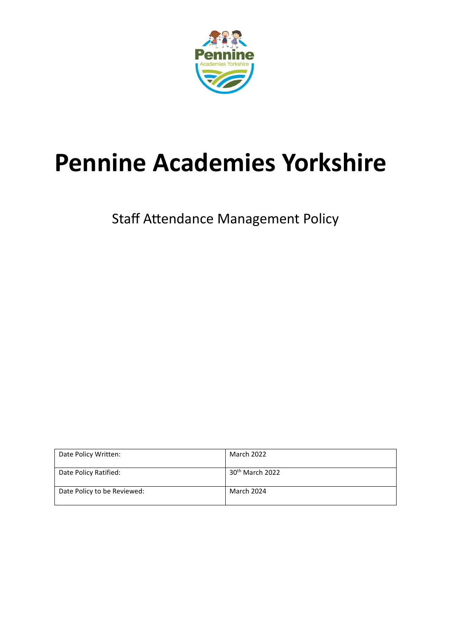

# **Pennine Academies Yorkshire**

Staff Attendance Management Policy

| Date Policy Written:        | <b>March 2022</b>           |
|-----------------------------|-----------------------------|
| Date Policy Ratified:       | 30 <sup>th</sup> March 2022 |
| Date Policy to be Reviewed: | March 2024                  |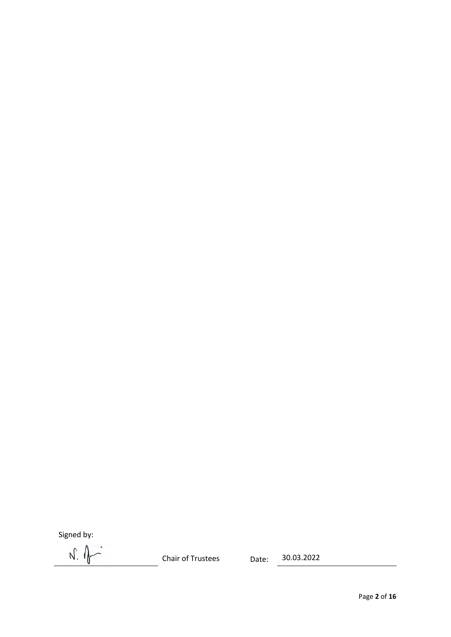Signed by:

 $N.$   $\theta$ 

Chair of Trustees Date: 30.03.2022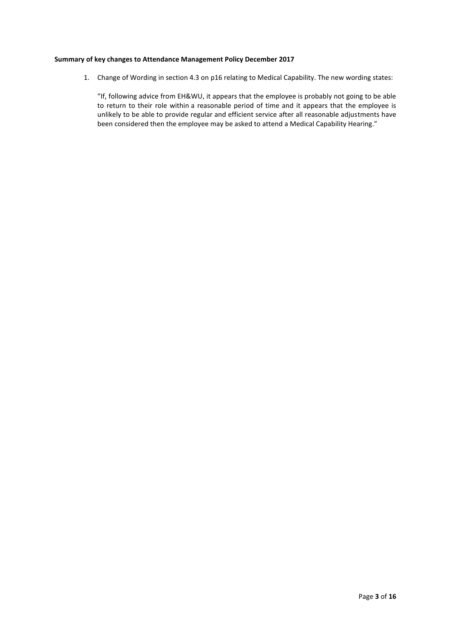# **Summary of key changes to Attendance Management Policy December 2017**

1. Change of Wording in section 4.3 on p16 relating to Medical Capability. The new wording states:

"If, following advice from EH&WU, it appears that the employee is probably not going to be able to return to their role within a reasonable period of time and it appears that the employee is unlikely to be able to provide regular and efficient service after all reasonable adjustments have been considered then the employee may be asked to attend a Medical Capability Hearing."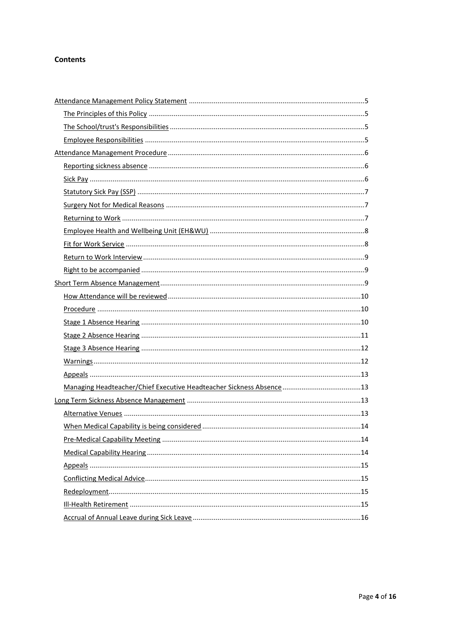# **Contents**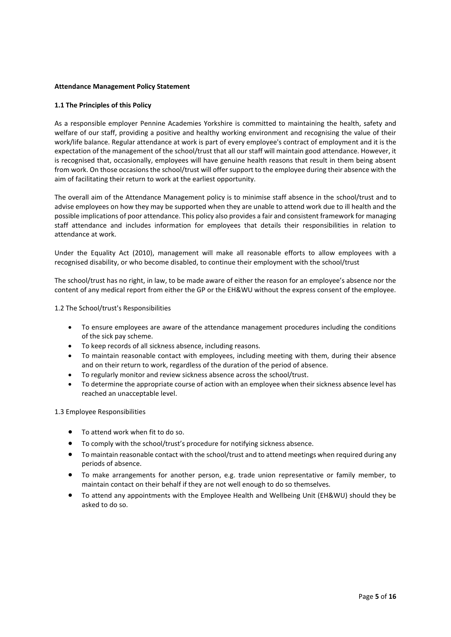## <span id="page-4-0"></span>**Attendance Management Policy Statement**

## <span id="page-4-1"></span>**1.1 The Principles of this Policy**

As a responsible employer Pennine Academies Yorkshire is committed to maintaining the health, safety and welfare of our staff, providing a positive and healthy working environment and recognising the value of their work/life balance. Regular attendance at work is part of every employee's contract of employment and it is the expectation of the management of the school/trust that all our staff will maintain good attendance. However, it is recognised that, occasionally, employees will have genuine health reasons that result in them being absent from work. On those occasions the school/trust will offer support to the employee during their absence with the aim of facilitating their return to work at the earliest opportunity.

The overall aim of the Attendance Management policy is to minimise staff absence in the school/trust and to advise employees on how they may be supported when they are unable to attend work due to ill health and the possible implications of poor attendance. This policy also provides a fair and consistent framework for managing staff attendance and includes information for employees that details their responsibilities in relation to attendance at work.

Under the Equality Act (2010), management will make all reasonable efforts to allow employees with a recognised disability, or who become disabled, to continue their employment with the school/trust

The school/trust has no right, in law, to be made aware of either the reason for an employee's absence nor the content of any medical report from either the GP or the EH&WU without the express consent of the employee.

<span id="page-4-2"></span>1.2 The School/trust's Responsibilities

- To ensure employees are aware of the attendance management procedures including the conditions of the sick pay scheme.
- To keep records of all sickness absence, including reasons.
- To maintain reasonable contact with employees, including meeting with them, during their absence and on their return to work, regardless of the duration of the period of absence.
- To regularly monitor and review sickness absence across the school/trust.
- To determine the appropriate course of action with an employee when their sickness absence level has reached an unacceptable level.

<span id="page-4-3"></span>1.3 Employee Responsibilities

- To attend work when fit to do so.
- To comply with the school/trust's procedure for notifying sickness absence.
- To maintain reasonable contact with the school/trust and to attend meetings when required during any periods of absence.
- To make arrangements for another person, e.g. trade union representative or family member, to maintain contact on their behalf if they are not well enough to do so themselves.
- To attend any appointments with the Employee Health and Wellbeing Unit (EH&WU) should they be asked to do so.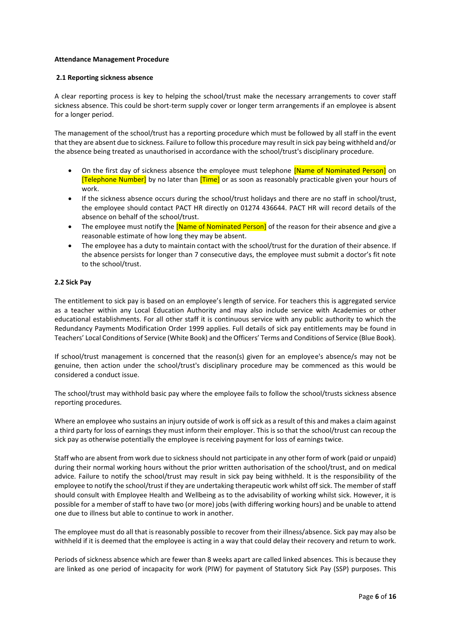## <span id="page-5-0"></span>**Attendance Management Procedure**

#### <span id="page-5-1"></span>**2.1 Reporting sickness absence**

A clear reporting process is key to helping the school/trust make the necessary arrangements to cover staff sickness absence. This could be short-term supply cover or longer term arrangements if an employee is absent for a longer period.

The management of the school/trust has a reporting procedure which must be followed by all staff in the event that they are absent due to sickness. Failure to follow this procedure may result in sick pay being withheld and/or the absence being treated as unauthorised in accordance with the school/trust's disciplinary procedure.

- On the first day of sickness absence the employee must telephone **[Name of Nominated Person]** on [Telephone Number] by no later than [Time] or as soon as reasonably practicable given your hours of work.
- If the sickness absence occurs during the school/trust holidays and there are no staff in school/trust, the employee should contact PACT HR directly on 01274 436644. PACT HR will record details of the absence on behalf of the school/trust.
- The employee must notify the *[Name of Nominated Person]* of the reason for their absence and give a reasonable estimate of how long they may be absent.
- The employee has a duty to maintain contact with the school/trust for the duration of their absence. If the absence persists for longer than 7 consecutive days, the employee must submit a doctor's fit note to the school/trust.

## <span id="page-5-2"></span>**2.2 Sick Pay**

The entitlement to sick pay is based on an employee's length of service. For teachers this is aggregated service as a teacher within any Local Education Authority and may also include service with Academies or other educational establishments. For all other staff it is continuous service with any public authority to which the Redundancy Payments Modification Order 1999 applies. Full details of sick pay entitlements may be found in Teachers' Local Conditions of Service (White Book) and the Officers' Terms and Conditions of Service (Blue Book).

If school/trust management is concerned that the reason(s) given for an employee's absence/s may not be genuine, then action under the school/trust's disciplinary procedure may be commenced as this would be considered a conduct issue.

The school/trust may withhold basic pay where the employee fails to follow the school/trusts sickness absence reporting procedures.

Where an employee who sustains an injury outside of work is off sick as a result of this and makes a claim against a third party for loss of earnings they must inform their employer. This is so that the school/trust can recoup the sick pay as otherwise potentially the employee is receiving payment for loss of earnings twice.

Staff who are absent from work due to sickness should not participate in any other form of work (paid or unpaid) during their normal working hours without the prior written authorisation of the school/trust, and on medical advice. Failure to notify the school/trust may result in sick pay being withheld. It is the responsibility of the employee to notify the school/trust if they are undertaking therapeutic work whilst off sick. The member of staff should consult with Employee Health and Wellbeing as to the advisability of working whilst sick. However, it is possible for a member of staff to have two (or more) jobs (with differing working hours) and be unable to attend one due to illness but able to continue to work in another.

The employee must do all that is reasonably possible to recover from their illness/absence. Sick pay may also be withheld if it is deemed that the employee is acting in a way that could delay their recovery and return to work.

Periods of sickness absence which are fewer than 8 weeks apart are called linked absences. This is because they are linked as one period of incapacity for work (PIW) for payment of Statutory Sick Pay (SSP) purposes. This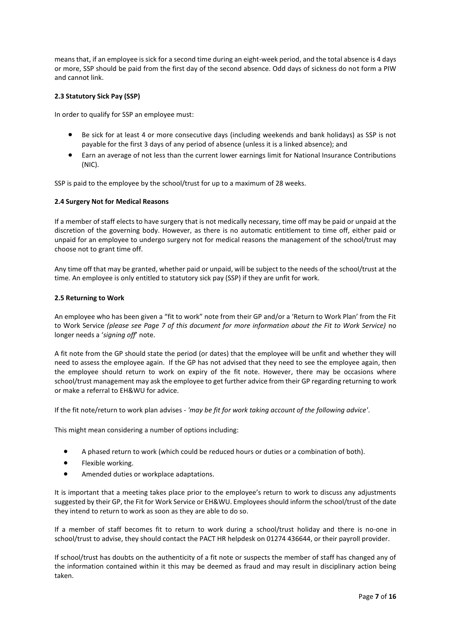means that, if an employee is sick for a second time during an eight-week period, and the total absence is 4 days or more, SSP should be paid from the first day of the second absence. Odd days of sickness do not form a PIW and cannot link.

# <span id="page-6-0"></span>**2.3 Statutory Sick Pay (SSP)**

In order to qualify for SSP an employee must:

- Be sick for at least 4 or more consecutive days (including weekends and bank holidays) as SSP is not payable for the first 3 days of any period of absence (unless it is a linked absence); and
- Earn an average of not less than the current lower earnings limit for National Insurance Contributions (NIC).

SSP is paid to the employee by the school/trust for up to a maximum of 28 weeks.

# <span id="page-6-1"></span>**2.4 Surgery Not for Medical Reasons**

If a member of staff elects to have surgery that is not medically necessary, time off may be paid or unpaid at the discretion of the governing body. However, as there is no automatic entitlement to time off, either paid or unpaid for an employee to undergo surgery not for medical reasons the management of the school/trust may choose not to grant time off.

Any time off that may be granted, whether paid or unpaid, will be subject to the needs of the school/trust at the time. An employee is only entitled to statutory sick pay (SSP) if they are unfit for work.

# <span id="page-6-2"></span>**2.5 Returning to Work**

An employee who has been given a "fit to work" note from their GP and/or a 'Return to Work Plan' from the Fit to Work Service *(please see Page 7 of this document for more information about the Fit to Work Service)* no longer needs a '*signing off*' note.

A fit note from the GP should state the period (or dates) that the employee will be unfit and whether they will need to assess the employee again. If the GP has not advised that they need to see the employee again, then the employee should return to work on expiry of the fit note. However, there may be occasions where school/trust management may ask the employee to get further advice from their GP regarding returning to work or make a referral to EH&WU for advice.

If the fit note/return to work plan advises - *'may be fit for work taking account of the following advice'*.

This might mean considering a number of options including:

- A phased return to work (which could be reduced hours or duties or a combination of both).
- Flexible working.
- Amended duties or workplace adaptations.

It is important that a meeting takes place prior to the employee's return to work to discuss any adjustments suggested by their GP, the Fit for Work Service or EH&WU. Employees should inform the school/trust of the date they intend to return to work as soon as they are able to do so.

If a member of staff becomes fit to return to work during a school/trust holiday and there is no-one in school/trust to advise, they should contact the PACT HR helpdesk on 01274 436644, or their payroll provider.

If school/trust has doubts on the authenticity of a fit note or suspects the member of staff has changed any of the information contained within it this may be deemed as fraud and may result in disciplinary action being taken.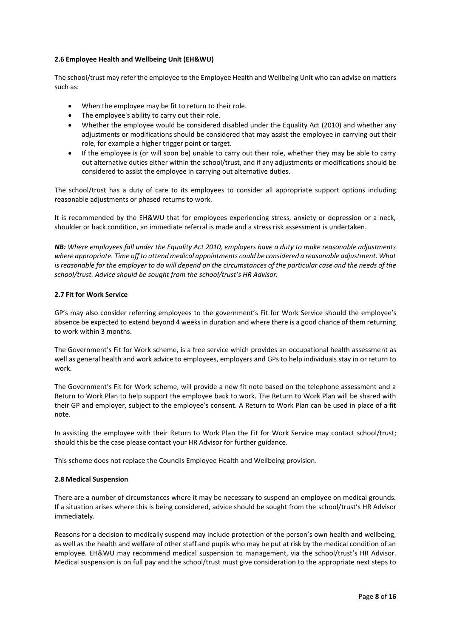# <span id="page-7-0"></span>**2.6 Employee Health and Wellbeing Unit (EH&WU)**

The school/trust may refer the employee to the Employee Health and Wellbeing Unit who can advise on matters such as:

- When the employee may be fit to return to their role.
- The employee's ability to carry out their role.
- Whether the employee would be considered disabled under the Equality Act (2010) and whether any adjustments or modifications should be considered that may assist the employee in carrying out their role, for example a higher trigger point or target.
- If the employee is (or will soon be) unable to carry out their role, whether they may be able to carry out alternative duties either within the school/trust, and if any adjustments or modifications should be considered to assist the employee in carrying out alternative duties.

The school/trust has a duty of care to its employees to consider all appropriate support options including reasonable adjustments or phased returns to work.

It is recommended by the EH&WU that for employees experiencing stress, anxiety or depression or a neck, shoulder or back condition, an immediate referral is made and a stress risk assessment is undertaken.

*NB: Where employees fall under the Equality Act 2010, employers have a duty to make reasonable adjustments where appropriate. Time off to attend medical appointments could be considered a reasonable adjustment. What is reasonable for the employer to do will depend on the circumstances of the particular case and the needs of the school/trust. Advice should be sought from the school/trust's HR Advisor.*

# <span id="page-7-1"></span>**2.7 Fit for Work Service**

GP's may also consider referring employees to the government's Fit for Work Service should the employee's absence be expected to extend beyond 4 weeks in duration and where there is a good chance of them returning to work within 3 months.

The Government's Fit for Work scheme, is a free service which provides an occupational health assessment as well as general health and work advice to employees, employers and GPs to help individuals stay in or return to work.

The Government's Fit for Work scheme, will provide a new fit note based on the telephone assessment and a Return to Work Plan to help support the employee back to work. The Return to Work Plan will be shared with their GP and employer, subject to the employee's consent. A Return to Work Plan can be used in place of a fit note.

In assisting the employee with their Return to Work Plan the Fit for Work Service may contact school/trust; should this be the case please contact your HR Advisor for further guidance.

This scheme does not replace the Councils Employee Health and Wellbeing provision.

# **2.8 Medical Suspension**

There are a number of circumstances where it may be necessary to suspend an employee on medical grounds. If a situation arises where this is being considered, advice should be sought from the school/trust's HR Advisor immediately.

Reasons for a decision to medically suspend may include protection of the person's own health and wellbeing, as well as the health and welfare of other staff and pupils who may be put at risk by the medical condition of an employee. EH&WU may recommend medical suspension to management, via the school/trust's HR Advisor. Medical suspension is on full pay and the school/trust must give consideration to the appropriate next steps to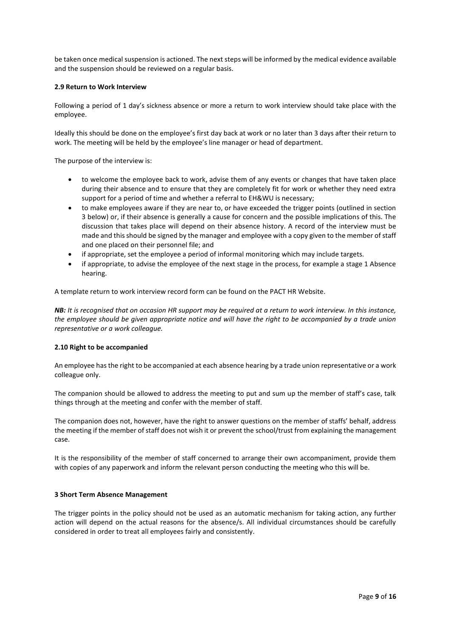be taken once medical suspension is actioned. The next steps will be informed by the medical evidence available and the suspension should be reviewed on a regular basis.

## <span id="page-8-0"></span>**2.9 Return to Work Interview**

Following a period of 1 day's sickness absence or more a return to work interview should take place with the employee.

Ideally this should be done on the employee's first day back at work or no later than 3 days after their return to work. The meeting will be held by the employee's line manager or head of department.

The purpose of the interview is:

- to welcome the employee back to work, advise them of any events or changes that have taken place during their absence and to ensure that they are completely fit for work or whether they need extra support for a period of time and whether a referral to EH&WU is necessary;
- to make employees aware if they are near to, or have exceeded the trigger points (outlined in section 3 below) or, if their absence is generally a cause for concern and the possible implications of this. The discussion that takes place will depend on their absence history. A record of the interview must be made and this should be signed by the manager and employee with a copy given to the member of staff and one placed on their personnel file; and
- if appropriate, set the employee a period of informal monitoring which may include targets.
- if appropriate, to advise the employee of the next stage in the process, for example a stage 1 Absence hearing.

A template return to work interview record form can be found on the PACT HR Website.

*NB: It is recognised that on occasion HR support may be required at a return to work interview. In this instance, the employee should be given appropriate notice and will have the right to be accompanied by a trade union representative or a work colleague.*

#### <span id="page-8-1"></span>**2.10 Right to be accompanied**

An employee has the right to be accompanied at each absence hearing by a trade union representative or a work colleague only.

The companion should be allowed to address the meeting to put and sum up the member of staff's case, talk things through at the meeting and confer with the member of staff.

The companion does not, however, have the right to answer questions on the member of staffs' behalf, address the meeting if the member of staff does not wish it or prevent the school/trust from explaining the management case.

<span id="page-8-2"></span>It is the responsibility of the member of staff concerned to arrange their own accompaniment, provide them with copies of any paperwork and inform the relevant person conducting the meeting who this will be.

#### **3 Short Term Absence Management**

The trigger points in the policy should not be used as an automatic mechanism for taking action, any further action will depend on the actual reasons for the absence/s. All individual circumstances should be carefully considered in order to treat all employees fairly and consistently.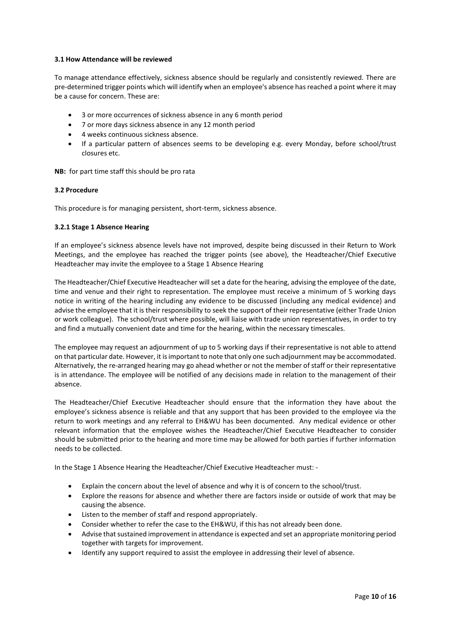# <span id="page-9-0"></span>**3.1 How Attendance will be reviewed**

To manage attendance effectively, sickness absence should be regularly and consistently reviewed. There are pre-determined trigger points which will identify when an employee's absence has reached a point where it may be a cause for concern. These are:

- 3 or more occurrences of sickness absence in any 6 month period
- 7 or more days sickness absence in any 12 month period
- 4 weeks continuous sickness absence.
- If a particular pattern of absences seems to be developing e.g. every Monday, before school/trust closures etc.

**NB:** for part time staff this should be pro rata

## <span id="page-9-1"></span>**3.2 Procedure**

This procedure is for managing persistent, short-term, sickness absence.

## <span id="page-9-2"></span>**3.2.1 Stage 1 Absence Hearing**

If an employee's sickness absence levels have not improved, despite being discussed in their Return to Work Meetings, and the employee has reached the trigger points (see above), the Headteacher/Chief Executive Headteacher may invite the employee to a Stage 1 Absence Hearing

The Headteacher/Chief Executive Headteacher will set a date for the hearing, advising the employee of the date, time and venue and their right to representation. The employee must receive a minimum of 5 working days notice in writing of the hearing including any evidence to be discussed (including any medical evidence) and advise the employee that it is their responsibility to seek the support of their representative (either Trade Union or work colleague). The school/trust where possible, will liaise with trade union representatives, in order to try and find a mutually convenient date and time for the hearing, within the necessary timescales.

The employee may request an adjournment of up to 5 working days if their representative is not able to attend on that particular date. However, it is important to note that only one such adjournment may be accommodated. Alternatively, the re-arranged hearing may go ahead whether or not the member of staff or their representative is in attendance. The employee will be notified of any decisions made in relation to the management of their absence.

The Headteacher/Chief Executive Headteacher should ensure that the information they have about the employee's sickness absence is reliable and that any support that has been provided to the employee via the return to work meetings and any referral to EH&WU has been documented. Any medical evidence or other relevant information that the employee wishes the Headteacher/Chief Executive Headteacher to consider should be submitted prior to the hearing and more time may be allowed for both parties if further information needs to be collected.

In the Stage 1 Absence Hearing the Headteacher/Chief Executive Headteacher must: -

- Explain the concern about the level of absence and why it is of concern to the school/trust.
- Explore the reasons for absence and whether there are factors inside or outside of work that may be causing the absence.
- Listen to the member of staff and respond appropriately.
- Consider whether to refer the case to the EH&WU, if this has not already been done.
- Advise that sustained improvement in attendance is expected and set an appropriate monitoring period together with targets for improvement.
- Identify any support required to assist the employee in addressing their level of absence.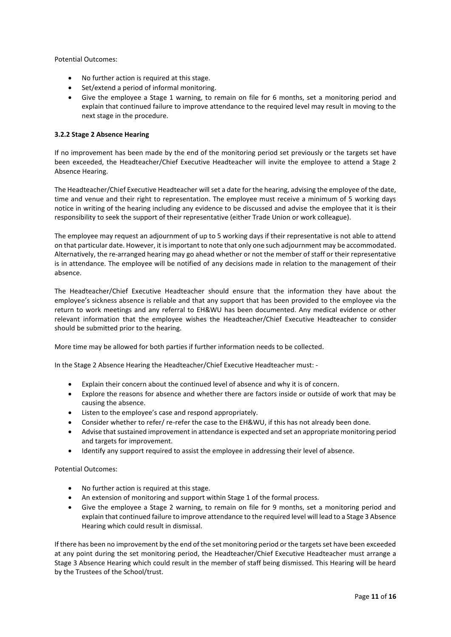Potential Outcomes:

- No further action is required at this stage.
- Set/extend a period of informal monitoring.
- Give the employee a Stage 1 warning, to remain on file for 6 months, set a monitoring period and explain that continued failure to improve attendance to the required level may result in moving to the next stage in the procedure.

# <span id="page-10-0"></span>**3.2.2 Stage 2 Absence Hearing**

If no improvement has been made by the end of the monitoring period set previously or the targets set have been exceeded, the Headteacher/Chief Executive Headteacher will invite the employee to attend a Stage 2 Absence Hearing.

The Headteacher/Chief Executive Headteacher will set a date for the hearing, advising the employee of the date, time and venue and their right to representation. The employee must receive a minimum of 5 working days notice in writing of the hearing including any evidence to be discussed and advise the employee that it is their responsibility to seek the support of their representative (either Trade Union or work colleague).

The employee may request an adjournment of up to 5 working days if their representative is not able to attend on that particular date. However, it is important to note that only one such adjournment may be accommodated. Alternatively, the re-arranged hearing may go ahead whether or not the member of staff or their representative is in attendance. The employee will be notified of any decisions made in relation to the management of their absence.

The Headteacher/Chief Executive Headteacher should ensure that the information they have about the employee's sickness absence is reliable and that any support that has been provided to the employee via the return to work meetings and any referral to EH&WU has been documented. Any medical evidence or other relevant information that the employee wishes the Headteacher/Chief Executive Headteacher to consider should be submitted prior to the hearing.

More time may be allowed for both parties if further information needs to be collected.

In the Stage 2 Absence Hearing the Headteacher/Chief Executive Headteacher must: -

- Explain their concern about the continued level of absence and why it is of concern.
- Explore the reasons for absence and whether there are factors inside or outside of work that may be causing the absence.
- Listen to the employee's case and respond appropriately.
- Consider whether to refer/ re-refer the case to the EH&WU, if this has not already been done.
- Advise that sustained improvement in attendance is expected and set an appropriate monitoring period and targets for improvement.
- Identify any support required to assist the employee in addressing their level of absence.

Potential Outcomes:

- No further action is required at this stage.
- An extension of monitoring and support within Stage 1 of the formal process.
- Give the employee a Stage 2 warning, to remain on file for 9 months, set a monitoring period and explain that continued failure to improve attendance to the required level will lead to a Stage 3 Absence Hearing which could result in dismissal.

If there has been no improvement by the end of the set monitoring period or the targets set have been exceeded at any point during the set monitoring period, the Headteacher/Chief Executive Headteacher must arrange a Stage 3 Absence Hearing which could result in the member of staff being dismissed. This Hearing will be heard by the Trustees of the School/trust.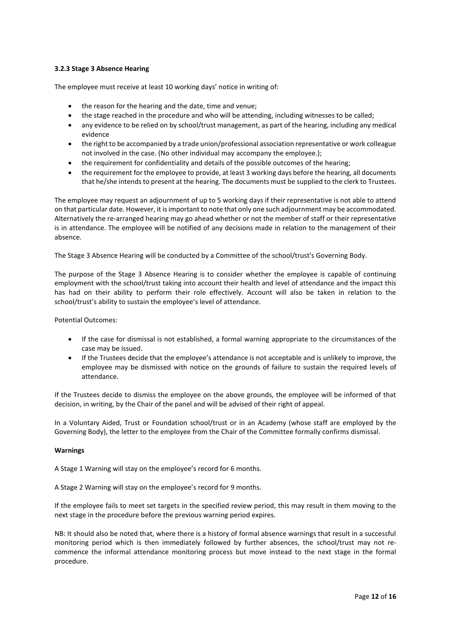# <span id="page-11-0"></span>**3.2.3 Stage 3 Absence Hearing**

The employee must receive at least 10 working days' notice in writing of:

- the reason for the hearing and the date, time and venue;
- the stage reached in the procedure and who will be attending, including witnesses to be called;
- any evidence to be relied on by school/trust management, as part of the hearing, including any medical evidence
- the right to be accompanied by a trade union/professional association representative or work colleague not involved in the case. (No other individual may accompany the employee.);
- the requirement for confidentiality and details of the possible outcomes of the hearing;
- the requirement for the employee to provide, at least 3 working days before the hearing, all documents that he/she intends to present at the hearing. The documents must be supplied to the clerk to Trustees.

The employee may request an adjournment of up to 5 working days if their representative is not able to attend on that particular date. However, it is important to note that only one such adjournment may be accommodated. Alternatively the re-arranged hearing may go ahead whether or not the member of staff or their representative is in attendance. The employee will be notified of any decisions made in relation to the management of their absence.

The Stage 3 Absence Hearing will be conducted by a Committee of the school/trust's Governing Body.

The purpose of the Stage 3 Absence Hearing is to consider whether the employee is capable of continuing employment with the school/trust taking into account their health and level of attendance and the impact this has had on their ability to perform their role effectively. Account will also be taken in relation to the school/trust's ability to sustain the employee's level of attendance.

Potential Outcomes:

- If the case for dismissal is not established, a formal warning appropriate to the circumstances of the case may be issued.
- If the Trustees decide that the employee's attendance is not acceptable and is unlikely to improve, the employee may be dismissed with notice on the grounds of failure to sustain the required levels of attendance.

If the Trustees decide to dismiss the employee on the above grounds, the employee will be informed of that decision, in writing, by the Chair of the panel and will be advised of their right of appeal.

In a Voluntary Aided, Trust or Foundation school/trust or in an Academy (whose staff are employed by the Governing Body), the letter to the employee from the Chair of the Committee formally confirms dismissal.

#### <span id="page-11-1"></span>**Warnings**

A Stage 1 Warning will stay on the employee's record for 6 months.

A Stage 2 Warning will stay on the employee's record for 9 months.

If the employee fails to meet set targets in the specified review period, this may result in them moving to the next stage in the procedure before the previous warning period expires.

NB: It should also be noted that, where there is a history of formal absence warnings that result in a successful monitoring period which is then immediately followed by further absences, the school/trust may not recommence the informal attendance monitoring process but move instead to the next stage in the formal procedure.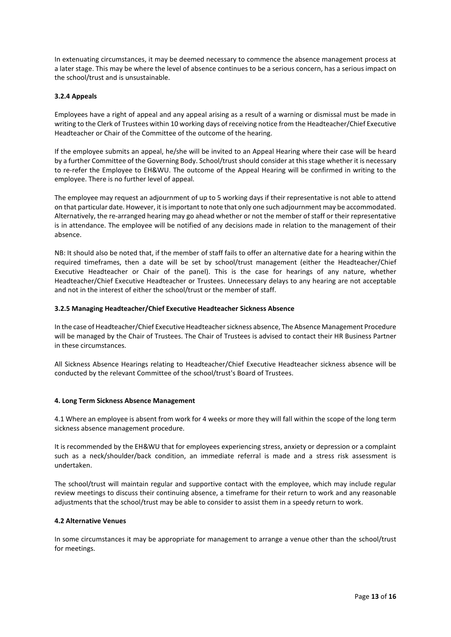In extenuating circumstances, it may be deemed necessary to commence the absence management process at a later stage. This may be where the level of absence continues to be a serious concern, has a serious impact on the school/trust and is unsustainable.

# <span id="page-12-0"></span>**3.2.4 Appeals**

Employees have a right of appeal and any appeal arising as a result of a warning or dismissal must be made in writing to the Clerk of Trustees within 10 working days of receiving notice from the Headteacher/Chief Executive Headteacher or Chair of the Committee of the outcome of the hearing.

If the employee submits an appeal, he/she will be invited to an Appeal Hearing where their case will be heard by a further Committee of the Governing Body. School/trust should consider at this stage whether it is necessary to re-refer the Employee to EH&WU. The outcome of the Appeal Hearing will be confirmed in writing to the employee. There is no further level of appeal.

The employee may request an adjournment of up to 5 working days if their representative is not able to attend on that particular date. However, it is important to note that only one such adjournment may be accommodated. Alternatively, the re-arranged hearing may go ahead whether or not the member of staff or their representative is in attendance. The employee will be notified of any decisions made in relation to the management of their absence.

NB: It should also be noted that, if the member of staff fails to offer an alternative date for a hearing within the required timeframes, then a date will be set by school/trust management (either the Headteacher/Chief Executive Headteacher or Chair of the panel). This is the case for hearings of any nature, whether Headteacher/Chief Executive Headteacher or Trustees. Unnecessary delays to any hearing are not acceptable and not in the interest of either the school/trust or the member of staff.

## <span id="page-12-1"></span>**3.2.5 Managing Headteacher/Chief Executive Headteacher Sickness Absence**

In the case of Headteacher/Chief Executive Headteacher sickness absence, The Absence Management Procedure will be managed by the Chair of Trustees. The Chair of Trustees is advised to contact their HR Business Partner in these circumstances.

<span id="page-12-2"></span>All Sickness Absence Hearings relating to Headteacher/Chief Executive Headteacher sickness absence will be conducted by the relevant Committee of the school/trust's Board of Trustees.

#### **4. Long Term Sickness Absence Management**

4.1 Where an employee is absent from work for 4 weeks or more they will fall within the scope of the long term sickness absence management procedure.

It is recommended by the EH&WU that for employees experiencing stress, anxiety or depression or a complaint such as a neck/shoulder/back condition, an immediate referral is made and a stress risk assessment is undertaken.

The school/trust will maintain regular and supportive contact with the employee, which may include regular review meetings to discuss their continuing absence, a timeframe for their return to work and any reasonable adjustments that the school/trust may be able to consider to assist them in a speedy return to work.

#### <span id="page-12-3"></span>**4.2 Alternative Venues**

In some circumstances it may be appropriate for management to arrange a venue other than the school/trust for meetings.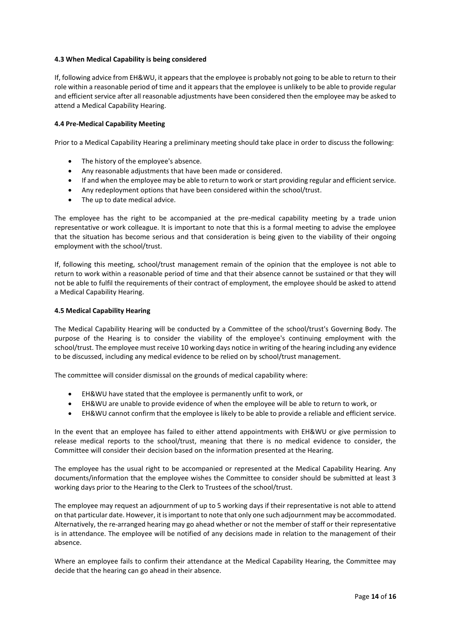# <span id="page-13-0"></span>**4.3 When Medical Capability is being considered**

If, following advice from EH&WU, it appears that the employee is probably not going to be able to return to their role within a reasonable period of time and it appears that the employee is unlikely to be able to provide regular and efficient service after all reasonable adjustments have been considered then the employee may be asked to attend a Medical Capability Hearing.

## <span id="page-13-1"></span>**4.4 Pre-Medical Capability Meeting**

Prior to a Medical Capability Hearing a preliminary meeting should take place in order to discuss the following:

- The history of the employee's absence.
- Any reasonable adjustments that have been made or considered.
- If and when the employee may be able to return to work or start providing regular and efficient service.
- Any redeployment options that have been considered within the school/trust.
- The up to date medical advice.

The employee has the right to be accompanied at the pre-medical capability meeting by a trade union representative or work colleague. It is important to note that this is a formal meeting to advise the employee that the situation has become serious and that consideration is being given to the viability of their ongoing employment with the school/trust.

If, following this meeting, school/trust management remain of the opinion that the employee is not able to return to work within a reasonable period of time and that their absence cannot be sustained or that they will not be able to fulfil the requirements of their contract of employment, the employee should be asked to attend a Medical Capability Hearing.

## <span id="page-13-2"></span>**4.5 Medical Capability Hearing**

The Medical Capability Hearing will be conducted by a Committee of the school/trust's Governing Body. The purpose of the Hearing is to consider the viability of the employee's continuing employment with the school/trust. The employee must receive 10 working days notice in writing of the hearing including any evidence to be discussed, including any medical evidence to be relied on by school/trust management.

The committee will consider dismissal on the grounds of medical capability where:

- EH&WU have stated that the employee is permanently unfit to work, or
- EH&WU are unable to provide evidence of when the employee will be able to return to work, or
- EH&WU cannot confirm that the employee is likely to be able to provide a reliable and efficient service.

In the event that an employee has failed to either attend appointments with EH&WU or give permission to release medical reports to the school/trust, meaning that there is no medical evidence to consider, the Committee will consider their decision based on the information presented at the Hearing.

The employee has the usual right to be accompanied or represented at the Medical Capability Hearing. Any documents/information that the employee wishes the Committee to consider should be submitted at least 3 working days prior to the Hearing to the Clerk to Trustees of the school/trust.

The employee may request an adjournment of up to 5 working days if their representative is not able to attend on that particular date. However, it is important to note that only one such adjournment may be accommodated. Alternatively, the re-arranged hearing may go ahead whether or not the member of staff or their representative is in attendance. The employee will be notified of any decisions made in relation to the management of their absence.

Where an employee fails to confirm their attendance at the Medical Capability Hearing, the Committee may decide that the hearing can go ahead in their absence.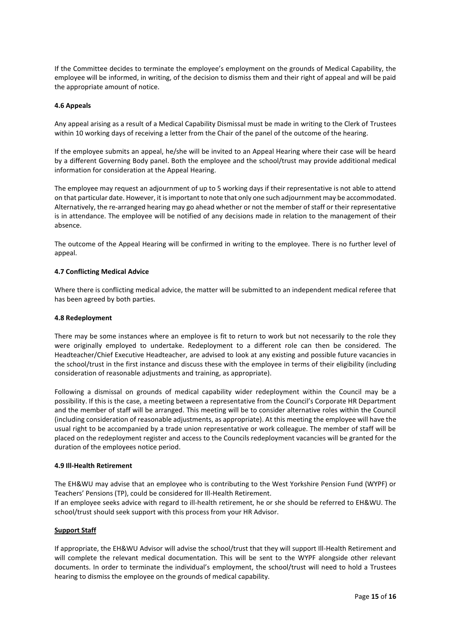If the Committee decides to terminate the employee's employment on the grounds of Medical Capability, the employee will be informed, in writing, of the decision to dismiss them and their right of appeal and will be paid the appropriate amount of notice.

## <span id="page-14-0"></span>**4.6 Appeals**

Any appeal arising as a result of a Medical Capability Dismissal must be made in writing to the Clerk of Trustees within 10 working days of receiving a letter from the Chair of the panel of the outcome of the hearing.

If the employee submits an appeal, he/she will be invited to an Appeal Hearing where their case will be heard by a different Governing Body panel. Both the employee and the school/trust may provide additional medical information for consideration at the Appeal Hearing.

The employee may request an adjournment of up to 5 working days if their representative is not able to attend on that particular date. However, it is important to note that only one such adjournment may be accommodated. Alternatively, the re-arranged hearing may go ahead whether or not the member of staff or their representative is in attendance. The employee will be notified of any decisions made in relation to the management of their absence.

The outcome of the Appeal Hearing will be confirmed in writing to the employee. There is no further level of appeal.

#### <span id="page-14-1"></span>**4.7 Conflicting Medical Advice**

Where there is conflicting medical advice, the matter will be submitted to an independent medical referee that has been agreed by both parties.

## <span id="page-14-2"></span>**4.8 Redeployment**

There may be some instances where an employee is fit to return to work but not necessarily to the role they were originally employed to undertake. Redeployment to a different role can then be considered. The Headteacher/Chief Executive Headteacher, are advised to look at any existing and possible future vacancies in the school/trust in the first instance and discuss these with the employee in terms of their eligibility (including consideration of reasonable adjustments and training, as appropriate).

Following a dismissal on grounds of medical capability wider redeployment within the Council may be a possibility. If this is the case, a meeting between a representative from the Council's Corporate HR Department and the member of staff will be arranged. This meeting will be to consider alternative roles within the Council (including consideration of reasonable adjustments, as appropriate). At this meeting the employee will have the usual right to be accompanied by a trade union representative or work colleague. The member of staff will be placed on the redeployment register and access to the Councils redeployment vacancies will be granted for the duration of the employees notice period.

#### <span id="page-14-3"></span>**4.9 Ill-Health Retirement**

The EH&WU may advise that an employee who is contributing to the West Yorkshire Pension Fund (WYPF) or Teachers' Pensions (TP), could be considered for Ill-Health Retirement.

If an employee seeks advice with regard to ill-health retirement, he or she should be referred to EH&WU. The school/trust should seek support with this process from your HR Advisor.

#### **Support Staff**

If appropriate, the EH&WU Advisor will advise the school/trust that they will support Ill-Health Retirement and will complete the relevant medical documentation. This will be sent to the WYPF alongside other relevant documents. In order to terminate the individual's employment, the school/trust will need to hold a Trustees hearing to dismiss the employee on the grounds of medical capability.